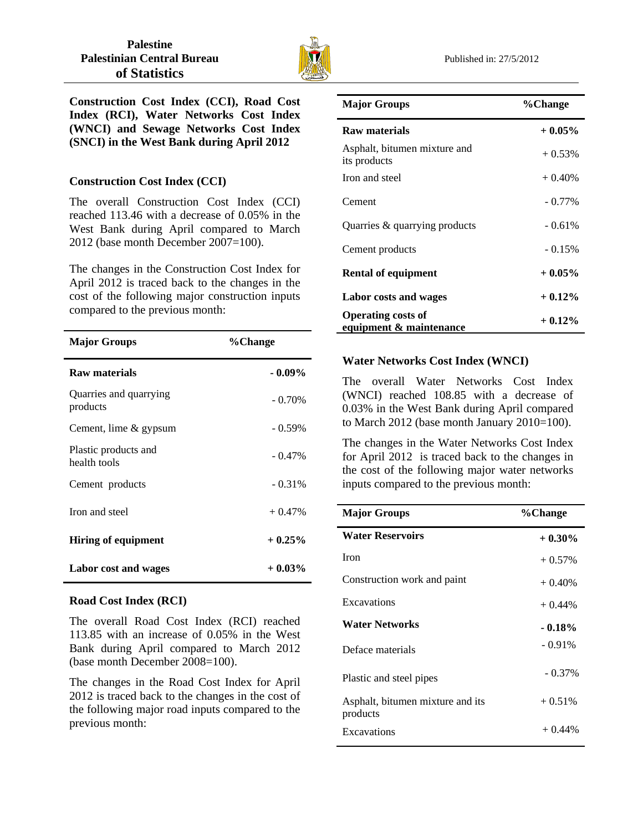

**Construction Cost Index (CCI), Road Cost Index (RCI), Water Networks Cost Index (WNCI) and Sewage Networks Cost Index (SNCI) in the West Bank during April 2012** 

## **Construction Cost Index (CCI)**

The overall Construction Cost Index (CCI) reached 113.46 with a decrease of 0.05% in the West Bank during April compared to March 2012 (base month December 2007=100).

The changes in the Construction Cost Index for April 2012 is traced back to the changes in the cost of the following major construction inputs compared to the previous month:

| <b>Major Groups</b>                  | %Change   |
|--------------------------------------|-----------|
| Raw materials                        | $-0.09\%$ |
| Quarries and quarrying<br>products   | $-0.70\%$ |
| Cement, lime & gypsum                | $-0.59\%$ |
| Plastic products and<br>health tools | $-0.47\%$ |
| Cement products                      | $-0.31\%$ |
| Iron and steel                       | $+0.47%$  |
| <b>Hiring of equipment</b>           | $+0.25%$  |
| Labor cost and wages                 | $+0.03\%$ |

## **Road Cost Index (RCI)**

The overall Road Cost Index (RCI) reached 113.85 with an increase of 0.05% in the West Bank during April compared to March 2012 (base month December 2008=100).

The changes in the Road Cost Index for April 2012 is traced back to the changes in the cost of the following major road inputs compared to the previous month:

| <b>Major Groups</b>                                  | %Change   |
|------------------------------------------------------|-----------|
| Raw materials                                        | $+0.05%$  |
| Asphalt, bitumen mixture and<br>its products         | $+0.53%$  |
| Iron and steel                                       | $+0.40%$  |
| Cement                                               | $-0.77\%$ |
| Quarries & quarrying products                        | $-0.61%$  |
| Cement products                                      | $-0.15%$  |
| <b>Rental of equipment</b>                           | $+0.05\%$ |
| Labor costs and wages                                | $+0.12\%$ |
| <b>Operating costs of</b><br>equipment & maintenance | $+0.12%$  |

# **Water Networks Cost Index (WNCI)**

The overall Water Networks Cost Index (WNCI) reached 108.85 with a decrease of 0.03% in the West Bank during April compared to March 2012 (base month January 2010=100).

The changes in the Water Networks Cost Index for April 2012 is traced back to the changes in the cost of the following major water networks inputs compared to the previous month:

| <b>Major Groups</b>                          | %Change   |
|----------------------------------------------|-----------|
| <b>Water Reservoirs</b>                      | $+0.30\%$ |
| <b>Iron</b>                                  | $+0.57\%$ |
| Construction work and paint                  | $+0.40\%$ |
| Excavations                                  | $+0.44\%$ |
| <b>Water Networks</b>                        | $-0.18%$  |
| Deface materials                             | $-0.91\%$ |
| Plastic and steel pipes                      | $-0.37\%$ |
| Asphalt, bitumen mixture and its<br>products | $+0.51%$  |
| Excavations                                  | $+0.44%$  |